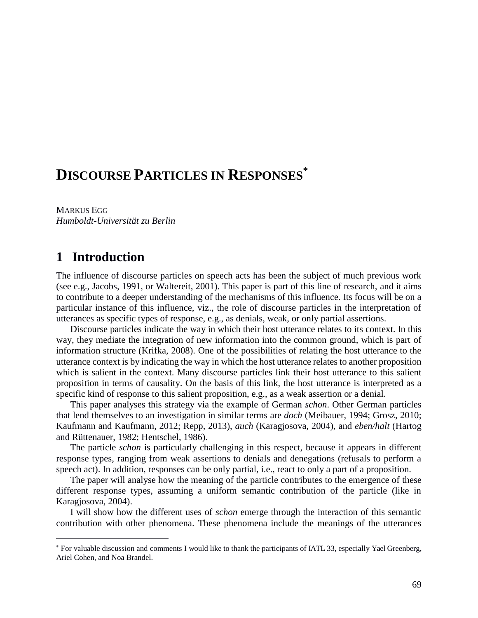# **DISCOURSE PARTICLES IN RESPONSES**\*

MARKUS EGG *Humboldt-Universität zu Berlin*

## **1** Introduction

 $\overline{a}$ 

The influence of discourse particles on speech acts has been the subject of much previous work (see e.g., Jacobs, 1991, or Waltereit, 2001). This paper is part of this line of research, and it aims to contribute to a deeper understanding of the mechanisms of this influence. Its focus will be on a particular instance of this influence, viz., the role of discourse particles in the interpretation of utterances as specific types of response, e.g., as denials, weak, or only partial assertions.

Discourse particles indicate the way in which their host utterance relates to its context. In this way, they mediate the integration of new information into the common ground, which is part of information structure (Krifka, 2008). One of the possibilities of relating the host utterance to the utterance context is by indicating the way in which the host utterance relates to another proposition which is salient in the context. Many discourse particles link their host utterance to this salient proposition in terms of causality. On the basis of this link, the host utterance is interpreted as a specific kind of response to this salient proposition, e.g., as a weak assertion or a denial.

This paper analyses this strategy via the example of German *schon*. Other German particles that lend themselves to an investigation in similar terms are *doch* (Meibauer, 1994; Grosz, 2010; Kaufmann and Kaufmann, 2012; Repp, 2013), *auch* (Karagjosova, 2004), and *eben/halt* (Hartog and Rüttenauer, 1982; Hentschel, 1986).

The particle *schon* is particularly challenging in this respect, because it appears in different response types, ranging from weak assertions to denials and denegations (refusals to perform a speech act). In addition, responses can be only partial, i.e., react to only a part of a proposition.

The paper will analyse how the meaning of the particle contributes to the emergence of these different response types, assuming a uniform semantic contribution of the particle (like in Karagjosova, 2004).

I will show how the different uses of *schon* emerge through the interaction of this semantic contribution with other phenomena. These phenomena include the meanings of the utterances

For valuable discussion and comments I would like to thank the participants of IATL 33, especially Yael Greenberg, Ariel Cohen, and Noa Brandel.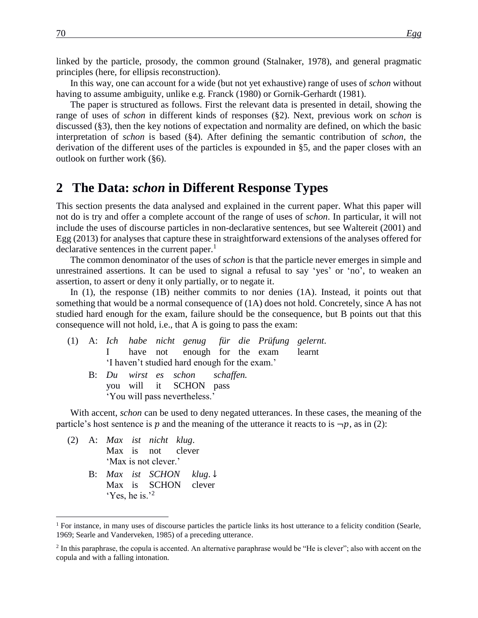linked by the particle, prosody, the common ground (Stalnaker, 1978), and general pragmatic principles (here, for ellipsis reconstruction).

In this way, one can account for a wide (but not yet exhaustive) range of uses of *schon* without having to assume ambiguity, unlike e.g. Franck (1980) or Gornik-Gerhardt (1981).

The paper is structured as follows. First the relevant data is presented in detail, showing the range of uses of *schon* in different kinds of responses (§2). Next, previous work on *schon* is discussed (§3), then the key notions of expectation and normality are defined, on which the basic interpretation of *schon* is based (§4). After defining the semantic contribution of *schon*, the derivation of the different uses of the particles is expounded in §5, and the paper closes with an outlook on further work (§6).

### **2** The Data: *schon* in Different Response Types

This section presents the data analysed and explained in the current paper. What this paper will not do is try and offer a complete account of the range of uses of *schon*. In particular, it will not include the uses of discourse particles in non-declarative sentences, but see Waltereit (2001) and Egg (2013) for analyses that capture these in straightforward extensions of the analyses offered for declarative sentences in the current paper.<sup>1</sup>

The common denominator of the uses of *schon* is that the particle never emerges in simple and unrestrained assertions. It can be used to signal a refusal to say 'yes' or 'no', to weaken an assertion, to assert or deny it only partially, or to negate it.

In (1), the response (1B) neither commits to nor denies (1A). Instead, it points out that something that would be a normal consequence of (1A) does not hold. Concretely, since A has not studied hard enough for the exam, failure should be the consequence, but B points out that this consequence will not hold, i.e., that A is going to pass the exam:

- (1) A: *Ich habe nicht genug für die Prüfung gelernt*. I have not enough for the exam learnt 'I haven't studied hard enough for the exam.'
	- B: *Du wirst es schon schaffen.* you will it SCHON pass 'You will pass nevertheless.'

With accent, *schon* can be used to deny negated utterances. In these cases, the meaning of the particle's host sentence is p and the meaning of the utterance it reacts to is  $\neg p$ , as in (2):

(2) A: *Max ist nicht klug*. Max is not clever 'Max is not clever.'

 $\overline{a}$ 

B: *Max ist SCHON klug*. ↓ Max is SCHON clever 'Yes, he is.'<sup>2</sup>

<sup>&</sup>lt;sup>1</sup> For instance, in many uses of discourse particles the particle links its host utterance to a felicity condition (Searle, 1969; Searle and Vanderveken, 1985) of a preceding utterance.

 $<sup>2</sup>$  In this paraphrase, the copula is accented. An alternative paraphrase would be "He is clever"; also with accent on the</sup> copula and with a falling intonation.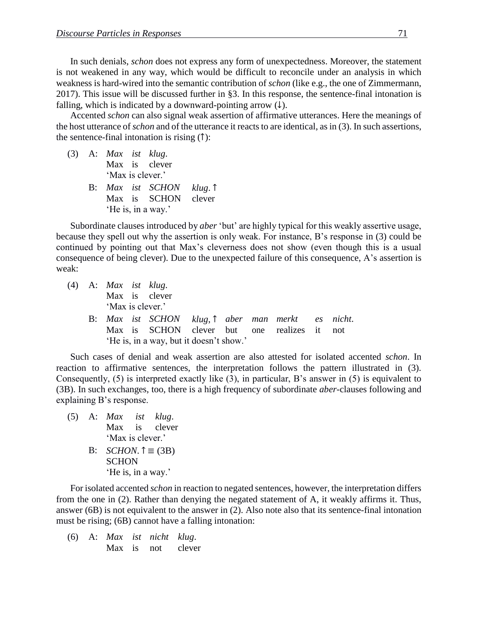In such denials, *schon* does not express any form of unexpectedness. Moreover, the statement is not weakened in any way, which would be difficult to reconcile under an analysis in which weakness is hard-wired into the semantic contribution of *schon* (like e.g., the one of Zimmermann, 2017). This issue will be discussed further in §3. In this response, the sentence-final intonation is falling, which is indicated by a downward-pointing arrow  $(\downarrow)$ .

Accented *schon* can also signal weak assertion of affirmative utterances. Here the meanings of the host utterance of *schon* and of the utterance it reacts to are identical, as in (3). In such assertions, the sentence-final intonation is rising (↑):

(3) A: *Max ist klug*. Max is clever 'Max is clever.' B: *Max ist SCHON klug*. ↑ Max is SCHON clever

'He is, in a way.'

Subordinate clauses introduced by *aber* 'but' are highly typical for this weakly assertive usage, because they spell out why the assertion is only weak. For instance, B's response in (3) could be continued by pointing out that Max's cleverness does not show (even though this is a usual consequence of being clever). Due to the unexpected failure of this consequence, A's assertion is weak:

(4) A: *Max ist klug*. Max is clever 'Max is clever.' B: *Max ist SCHON klug*, ↑ *aber man merkt es nicht*. Max is SCHON clever but one realizes it not 'He is, in a way, but it doesn't show.'

Such cases of denial and weak assertion are also attested for isolated accented *schon*. In reaction to affirmative sentences, the interpretation follows the pattern illustrated in (3). Consequently, (5) is interpreted exactly like (3), in particular, B's answer in (5) is equivalent to (3B). In such exchanges, too, there is a high frequency of subordinate *aber*-clauses following and explaining B's response.

(5) A: *Max ist klug*. Max is clever 'Max is clever.' B:  $SCHON. \uparrow \equiv (3B)$ **SCHON** 'He is, in a way.'

For isolated accented *schon* in reaction to negated sentences, however, the interpretation differs from the one in (2). Rather than denying the negated statement of A, it weakly affirms it. Thus, answer (6B) is not equivalent to the answer in (2). Also note also that its sentence-final intonation must be rising; (6B) cannot have a falling intonation:

(6) A: *Max ist nicht klug*. Max is not clever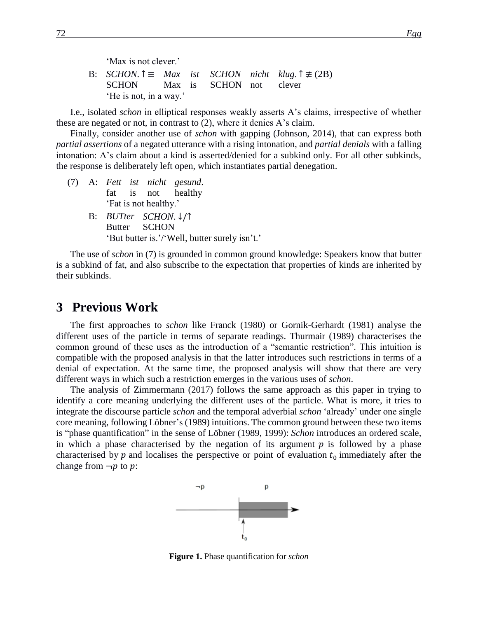B:  $SCHON. \hat{\tau} \equiv Max \text{ ist } SCHON \text{ nicht } klug. \hat{\tau} \not\equiv (2B)$ SCHON Max is SCHON not clever 'He is not, in a way.'

I.e., isolated *schon* in elliptical responses weakly asserts A's claims, irrespective of whether these are negated or not, in contrast to (2), where it denies A's claim.

Finally, consider another use of *schon* with gapping (Johnson, 2014), that can express both *partial assertions* of a negated utterance with a rising intonation, and *partial denials* with a falling intonation: A's claim about a kind is asserted/denied for a subkind only. For all other subkinds, the response is deliberately left open, which instantiates partial denegation.

- (7) A: *Fett ist nicht gesund*. fat is not healthy 'Fat is not healthy.'
	- B: *BUTter SCHON*. ↓/↑ Butter SCHON 'But butter is.'/'Well, butter surely isn't.'

The use of *schon* in (7) is grounded in common ground knowledge: Speakers know that butter is a subkind of fat, and also subscribe to the expectation that properties of kinds are inherited by their subkinds.

### **3** Previous Work

The first approaches to *schon* like Franck (1980) or Gornik-Gerhardt (1981) analyse the different uses of the particle in terms of separate readings. Thurmair (1989) characterises the common ground of these uses as the introduction of a "semantic restriction". This intuition is compatible with the proposed analysis in that the latter introduces such restrictions in terms of a denial of expectation. At the same time, the proposed analysis will show that there are very different ways in which such a restriction emerges in the various uses of *schon*.

The analysis of Zimmermann (2017) follows the same approach as this paper in trying to identify a core meaning underlying the different uses of the particle. What is more, it tries to integrate the discourse particle *schon* and the temporal adverbial *schon* 'already' under one single core meaning, following Löbner's (1989) intuitions. The common ground between these two items is "phase quantification" in the sense of Löbner (1989, 1999): *Schon* introduces an ordered scale, in which a phase characterised by the negation of its argument  $p$  is followed by a phase characterised by  $p$  and localises the perspective or point of evaluation  $t_0$  immediately after the change from  $\neg p$  to p:



**Figure 1.** Phase quantification for *schon*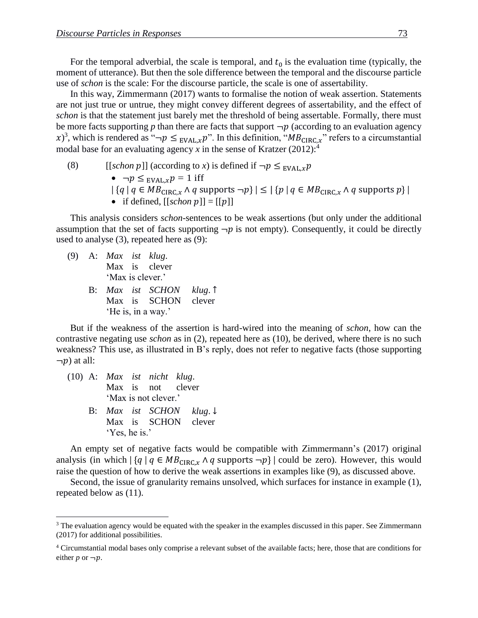For the temporal adverbial, the scale is temporal, and  $t_0$  is the evaluation time (typically, the moment of utterance). But then the sole difference between the temporal and the discourse particle use of *schon* is the scale: For the discourse particle, the scale is one of assertability.

In this way, Zimmermann (2017) wants to formalise the notion of weak assertion. Statements are not just true or untrue, they might convey different degrees of assertability, and the effect of *schon* is that the statement just barely met the threshold of being assertable. Formally, there must be more facts supporting  $p$  than there are facts that support  $\neg p$  (according to an evaluation agency x)<sup>3</sup>, which is rendered as " $\neg p \leq_{EVAL, x} p$ ". In this definition, " $MB_{CIRC,x}$ " refers to a circumstantial modal base for an evaluating agency  $x$  in the sense of Kratzer (2012):<sup>4</sup>

(8) 
$$
[[\text{schon } p]] \text{ (according to } x) \text{ is defined if } \neg p \leq_{EVAL, x} p
$$
\n• 
$$
\neg p \leq_{EVAL, x} p = 1 \text{ iff}
$$
\n
$$
|\{q \mid q \in MB_{CIRC, x} \land q \text{ supports } \neg p\}| \leq |\{p \mid q \in MB_{CIRC, x} \land q \text{ supports } p\}|
$$
\n• if defined, [[\text{schon } p]] = [[p]]

This analysis considers *schon*-sentences to be weak assertions (but only under the additional assumption that the set of facts supporting  $\neg p$  is not empty). Consequently, it could be directly used to analyse (3), repeated here as (9):

- (9) A: *Max ist klug*. Max is clever 'Max is clever.'
	- B: *Max ist SCHON klug*. ↑ Max is SCHON clever 'He is, in a way.'

But if the weakness of the assertion is hard-wired into the meaning of *schon*, how can the contrastive negating use *schon* as in (2), repeated here as (10), be derived, where there is no such weakness? This use, as illustrated in B's reply, does not refer to negative facts (those supporting  $\neg p$ ) at all:

(10) A: *Max ist nicht klug*. Max is not clever 'Max is not clever.' B: *Max ist SCHON klug*. ↓ Max is SCHON clever 'Yes, he is.'

 $\overline{a}$ 

An empty set of negative facts would be compatible with Zimmermann's (2017) original analysis (in which  $|{q | q \in MB_{CIRC,x} \land q \text{ supports } \neg p}|\$  could be zero). However, this would raise the question of how to derive the weak assertions in examples like (9), as discussed above.

Second, the issue of granularity remains unsolved, which surfaces for instance in example (1), repeated below as (11).

<sup>&</sup>lt;sup>3</sup> The evaluation agency would be equated with the speaker in the examples discussed in this paper. See Zimmermann (2017) for additional possibilities.

<sup>4</sup> Circumstantial modal bases only comprise a relevant subset of the available facts; here, those that are conditions for either  $p$  or  $\neg p$ .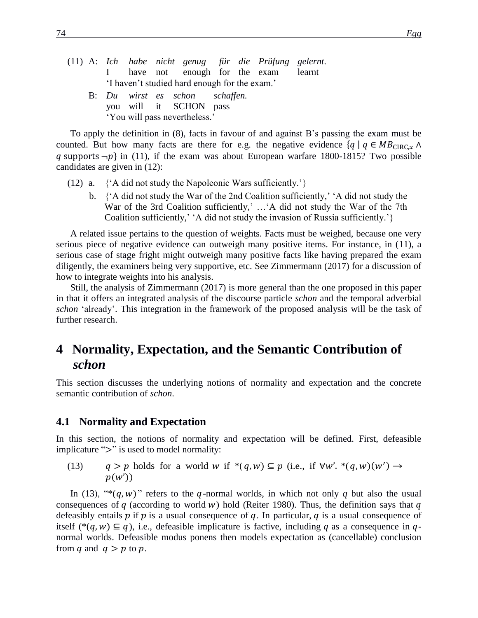|                                               |  |  |  |                                                                                                                               |  |  | (11) A: Ich habe nicht genug für die Prüfung gelernt. |  |  |
|-----------------------------------------------|--|--|--|-------------------------------------------------------------------------------------------------------------------------------|--|--|-------------------------------------------------------|--|--|
|                                               |  |  |  |                                                                                                                               |  |  | I have not enough for the exam learnt                 |  |  |
| 'I haven't studied hard enough for the exam.' |  |  |  |                                                                                                                               |  |  |                                                       |  |  |
|                                               |  |  |  | B: Du wirst es schon schaffen.                                                                                                |  |  |                                                       |  |  |
|                                               |  |  |  | $\mathbf{11}$ $\mathbf{12}$ $\mathbf{13}$ $\mathbf{14}$ $\mathbf{15}$ $\mathbf{16}$ $\mathbf{17}$ $\mathbf{18}$ $\mathbf{17}$ |  |  |                                                       |  |  |

you will it SCHON pass 'You will pass nevertheless.'

To apply the definition in (8), facts in favour of and against B's passing the exam must be counted. But how many facts are there for e.g. the negative evidence  $\{q \mid q \in MB_{CIRC,x} \land \emptyset\}$ q supports  $\neg p$  in (11), if the exam was about European warfare 1800-1815? Two possible candidates are given in (12):

- (12) a.  $\{A \text{ did not study the Napoleonic Wars sufficiently.}\}$ 
	- b. {'A did not study the War of the 2nd Coalition sufficiently,' 'A did not study the War of the 3rd Coalition sufficiently,' …'A did not study the War of the 7th Coalition sufficiently,' 'A did not study the invasion of Russia sufficiently.'}

A related issue pertains to the question of weights. Facts must be weighed, because one very serious piece of negative evidence can outweigh many positive items. For instance, in (11), a serious case of stage fright might outweigh many positive facts like having prepared the exam diligently, the examiners being very supportive, etc. See Zimmermann (2017) for a discussion of how to integrate weights into his analysis.

Still, the analysis of Zimmermann (2017) is more general than the one proposed in this paper in that it offers an integrated analysis of the discourse particle *schon* and the temporal adverbial *schon* 'already'. This integration in the framework of the proposed analysis will be the task of further research.

## **4** Normality, Expectation, and the Semantic Contribution of *schon*

This section discusses the underlying notions of normality and expectation and the concrete semantic contribution of *schon*.

#### **4.1 Normality and Expectation**

In this section, the notions of normality and expectation will be defined. First, defeasible implicature ">" is used to model normality:

(13)  $q > p$  holds for a world w if \*(q,w)  $\subseteq p$  (i.e., if  $\forall w'.$  \*(q,w)(w')  $\rightarrow$  $p(w')$ 

In (13), "\* $(q, w)$ " refers to the q-normal worlds, in which not only q but also the usual consequences of  $q$  (according to world w) hold (Reiter 1980). Thus, the definition says that  $q$ defeasibly entails  $p$  if  $p$  is a usual consequence of  $q$ . In particular,  $q$  is a usual consequence of itself (\*(q, w)  $\subseteq$  q), i.e., defeasible implicature is factive, including q as a consequence in qnormal worlds. Defeasible modus ponens then models expectation as (cancellable) conclusion from q and  $q > p$  to p.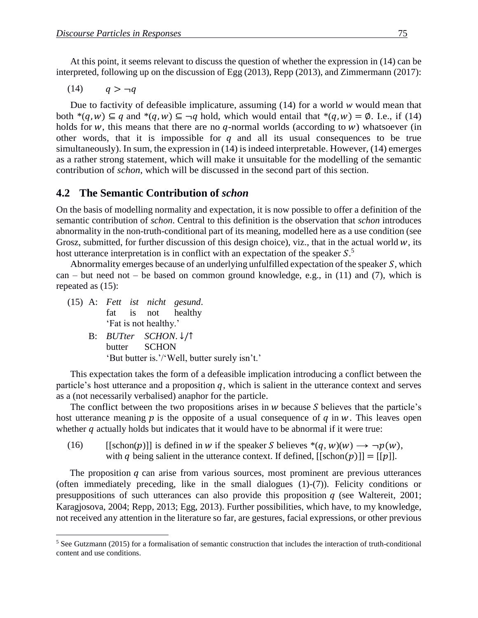At this point, it seems relevant to discuss the question of whether the expression in (14) can be interpreted, following up on the discussion of Egg (2013), Repp (2013), and Zimmermann (2017):

 $(14)$   $q > -q$ 

Due to factivity of defeasible implicature, assuming (14) for a world *w* would mean that both  $*(q, w) \subseteq q$  and  $*(q, w) \subseteq \neg q$  hold, which would entail that  $*(q, w) = \emptyset$ . I.e., if (14) holds for w, this means that there are no  $q$ -normal worlds (according to  $w$ ) whatsoever (in other words, that it is impossible for  $q$  and all its usual consequences to be true simultaneously). In sum, the expression in (14) is indeed interpretable. However, (14) emerges as a rather strong statement, which will make it unsuitable for the modelling of the semantic contribution of *schon*, which will be discussed in the second part of this section.

#### **4.2xxThe Semantic Contribution of** *schon*

On the basis of modelling normality and expectation, it is now possible to offer a definition of the semantic contribution of *schon*. Central to this definition is the observation that *schon* introduces abnormality in the non-truth-conditional part of its meaning, modelled here as a use condition (see Grosz, submitted, for further discussion of this design choice), viz., that in the actual world  $w$ , its host utterance interpretation is in conflict with an expectation of the speaker  $S$ .<sup>5</sup>

Abnormality emerges because of an underlying unfulfilled expectation of the speaker  $S$ , which can – but need not – be based on common ground knowledge, e.g., in  $(11)$  and  $(7)$ , which is repeated as (15):

(15) A: *Fett ist nicht gesund*. fat is not healthy 'Fat is not healthy.'

 $\overline{a}$ 

B: *BUTter SCHON*. ↓/↑ butter SCHON 'But butter is.'/'Well, butter surely isn't.'

This expectation takes the form of a defeasible implication introducing a conflict between the particle's host utterance and a proposition  $q$ , which is salient in the utterance context and serves as a (not necessarily verbalised) anaphor for the particle.

The conflict between the two propositions arises in  $w$  because  $S$  believes that the particle's host utterance meaning  $p$  is the opposite of a usual consequence of  $q$  in  $w$ . This leaves open whether  $q$  actually holds but indicates that it would have to be abnormal if it were true:

(16) [[schon(p)]] is defined in w if the speaker S believes  $*(q, w)(w) \rightarrow \neg p(w)$ , with q being salient in the utterance context. If defined,  $[$ [schon $(p)$ ]] =  $[[p]]$ .

The proposition  $q$  can arise from various sources, most prominent are previous utterances (often immediately preceding, like in the small dialogues (1)-(7)). Felicity conditions or presuppositions of such utterances can also provide this proposition  $q$  (see Waltereit, 2001; Karagjosova, 2004; Repp, 2013; Egg, 2013). Further possibilities, which have, to my knowledge, not received any attention in the literature so far, are gestures, facial expressions, or other previous

<sup>&</sup>lt;sup>5</sup> See Gutzmann (2015) for a formalisation of semantic construction that includes the interaction of truth-conditional content and use conditions.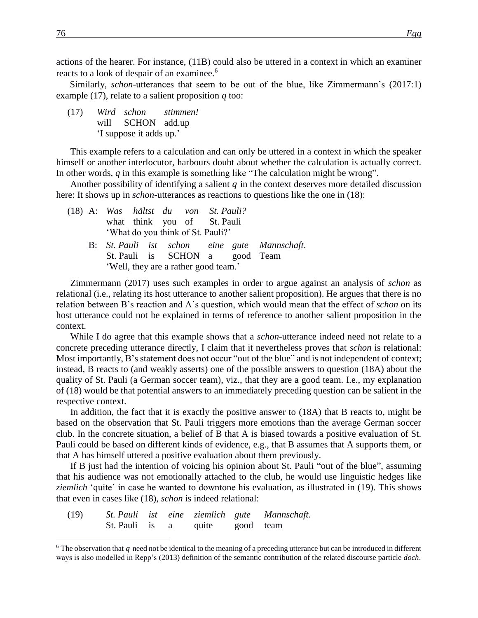actions of the hearer. For instance, (11B) could also be uttered in a context in which an examiner reacts to a look of despair of an examinee.<sup>6</sup>

Similarly, *schon*-utterances that seem to be out of the blue, like Zimmermann's (2017:1) example (17), relate to a salient proposition *q* too:

(17) *Wird schon stimmen!* will SCHON add.up 'I suppose it adds up.'

This example refers to a calculation and can only be uttered in a context in which the speaker himself or another interlocutor, harbours doubt about whether the calculation is actually correct. In other words, *q* in this example is something like "The calculation might be wrong".

Another possibility of identifying a salient  $q$  in the context deserves more detailed discussion here: It shows up in *schon*-utterances as reactions to questions like the one in (18):

|  |                                      | (18) A: Was hältst du von St. Pauli? |  |  |                                              |  |
|--|--------------------------------------|--------------------------------------|--|--|----------------------------------------------|--|
|  |                                      | what think you of St. Pauli          |  |  |                                              |  |
|  |                                      | 'What do you think of St. Pauli?'    |  |  |                                              |  |
|  |                                      |                                      |  |  | B: St. Pauli ist schon eine gute Mannschaft. |  |
|  |                                      | St. Pauli is SCHON a good Team       |  |  |                                              |  |
|  | 'Well, they are a rather good team.' |                                      |  |  |                                              |  |

Zimmermann (2017) uses such examples in order to argue against an analysis of *schon* as relational (i.e., relating its host utterance to another salient proposition). He argues that there is no relation between B's reaction and A's question, which would mean that the effect of *schon* on its host utterance could not be explained in terms of reference to another salient proposition in the context.

While I do agree that this example shows that a *schon*-utterance indeed need not relate to a concrete preceding utterance directly, I claim that it nevertheless proves that *schon* is relational: Most importantly, B's statement does not occur "out of the blue" and is not independent of context; instead, B reacts to (and weakly asserts) one of the possible answers to question (18A) about the quality of St. Pauli (a German soccer team), viz., that they are a good team. I.e., my explanation of (18) would be that potential answers to an immediately preceding question can be salient in the respective context.

In addition, the fact that it is exactly the positive answer to (18A) that B reacts to, might be based on the observation that St. Pauli triggers more emotions than the average German soccer club. In the concrete situation, a belief of B that A is biased towards a positive evaluation of St. Pauli could be based on different kinds of evidence, e.g., that B assumes that A supports them, or that A has himself uttered a positive evaluation about them previously.

If B just had the intention of voicing his opinion about St. Pauli "out of the blue", assuming that his audience was not emotionally attached to the club, he would use linguistic hedges like *ziemlich* 'quite' in case he wanted to downtone his evaluation, as illustrated in (19). This shows that even in cases like (18), *schon* is indeed relational:

| (19) |                                |  |  | St. Pauli ist eine ziemlich gute Mannschaft. |
|------|--------------------------------|--|--|----------------------------------------------|
|      | St. Pauli is a quite good team |  |  |                                              |

 $\overline{a}$ 

 $6$  The observation that q need not be identical to the meaning of a preceding utterance but can be introduced in different ways is also modelled in Repp's (2013) definition of the semantic contribution of the related discourse particle *doch*.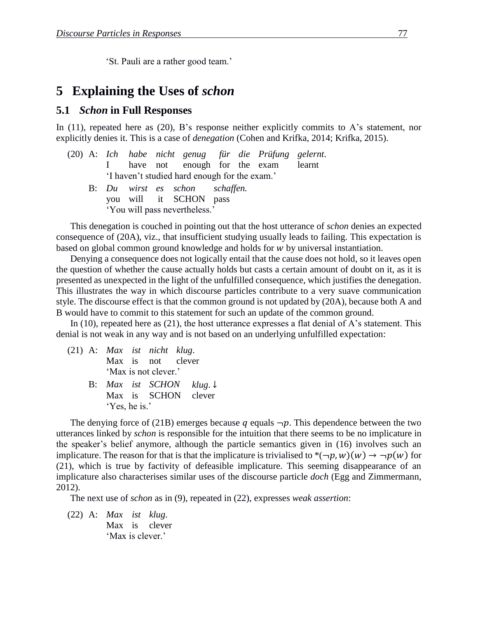'St. Pauli are a rather good team.'

### **5xxExplaining the Uses of** *schon*

#### **5.1xx***Schon* **in Full Responses**

In  $(11)$ , repeated here as  $(20)$ , B's response neither explicitly commits to A's statement, nor explicitly denies it. This is a case of *denegation* (Cohen and Krifka, 2014; Krifka, 2015).

|  |                                               |  |  |  |  |  | (20) A: Ich habe nicht genug für die Prüfung gelernt. |  |  |  |
|--|-----------------------------------------------|--|--|--|--|--|-------------------------------------------------------|--|--|--|
|  |                                               |  |  |  |  |  | I have not enough for the exam learnt                 |  |  |  |
|  | 'I haven't studied hard enough for the exam.' |  |  |  |  |  |                                                       |  |  |  |

B: *Du wirst es schon schaffen.* you will it SCHON pass 'You will pass nevertheless.'

This denegation is couched in pointing out that the host utterance of *schon* denies an expected consequence of (20A), viz., that insufficient studying usually leads to failing. This expectation is based on global common ground knowledge and holds for  $w$  by universal instantiation.

Denying a consequence does not logically entail that the cause does not hold, so it leaves open the question of whether the cause actually holds but casts a certain amount of doubt on it, as it is presented as unexpected in the light of the unfulfilled consequence, which justifies the denegation. This illustrates the way in which discourse particles contribute to a very suave communication style. The discourse effect is that the common ground is not updated by (20A), because both A and B would have to commit to this statement for such an update of the common ground.

In (10), repeated here as (21), the host utterance expresses a flat denial of A's statement. This denial is not weak in any way and is not based on an underlying unfulfilled expectation:

- (21) A: *Max ist nicht klug*. Max is not clever 'Max is not clever.' B: *Max ist SCHON klug*. ↓
	- Max is SCHON clever 'Yes, he is.'

The denying force of (21B) emerges because q equals  $\neg p$ . This dependence between the two utterances linked by *schon* is responsible for the intuition that there seems to be no implicature in the speaker's belief anymore, although the particle semantics given in (16) involves such an implicature. The reason for that is that the implicature is trivialised to  $*(\neg p, w)(w) \rightarrow \neg p(w)$  for (21), which is true by factivity of defeasible implicature. This seeming disappearance of an implicature also characterises similar uses of the discourse particle *doch* (Egg and Zimmermann, 2012).

The next use of *schon* as in (9), repeated in (22), expresses *weak assertion*:

(22) A: *Max ist klug*. Max is clever 'Max is clever.'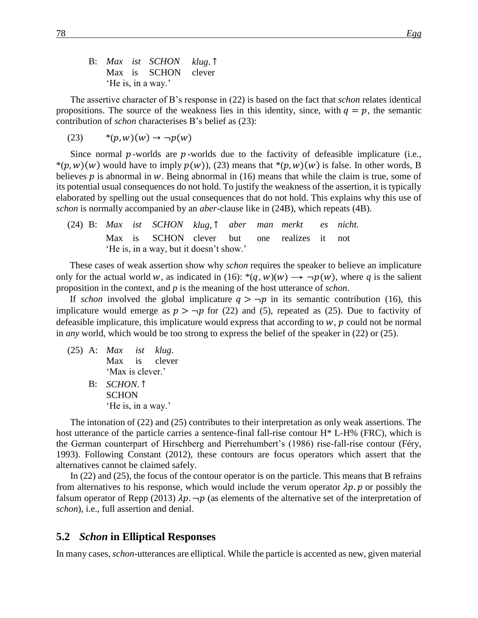B: *Max ist SCHON klug*. ↑ Max is SCHON clever 'He is, in a way.'

The assertive character of B's response in (22) is based on the fact that *schon* relates identical propositions. The source of the weakness lies in this identity, since, with  $q = p$ , the semantic contribution of *schon* characterises B's belief as (23):

 $*(23)$  \* $(p, w)(w) \to \neg p(w)$ 

Since normal  $p$ -worlds are  $p$ -worlds due to the factivity of defeasible implicature (i.e., \* $(p, w)(w)$  would have to imply  $p(w)$ , (23) means that \* $(p, w)(w)$  is false. In other words, B believes  $p$  is abnormal in  $w$ . Being abnormal in (16) means that while the claim is true, some of its potential usual consequences do not hold. To justify the weakness of the assertion, it is typically elaborated by spelling out the usual consequences that do not hold. This explains why this use of *schon* is normally accompanied by an *aber*-clause like in (24B), which repeats (4B).

(24) B: *Max ist SCHON klug*, ↑ *aber man merkt es nicht.* Max is SCHON clever but one realizes it not 'He is, in a way, but it doesn't show.'

These cases of weak assertion show why *schon* requires the speaker to believe an implicature only for the actual world w, as indicated in (16):  $*(q, w)(w) \rightarrow \neg p(w)$ , where q is the salient proposition in the context, and *p* is the meaning of the host utterance of *schon*.

If *schon* involved the global implicature  $q > \neg p$  in its semantic contribution (16), this implicature would emerge as  $p > \neg p$  for (22) and (5), repeated as (25). Due to factivity of defeasible implicature, this implicature would express that according to  $w$ ,  $p$  could not be normal in *any* world, which would be too strong to express the belief of the speaker in (22) or (25).

(25) A: *Max ist klug*. Max is clever 'Max is clever.' B: *SCHON*. ↑ **SCHON** 'He is, in a way.'

The intonation of (22) and (25) contributes to their interpretation as only weak assertions. The host utterance of the particle carries a sentence-final fall-rise contour H\* L-H% (FRC), which is the German counterpart of Hirschberg and Pierrehumbert's (1986) rise-fall-rise contour (Féry, 1993). Following Constant (2012), these contours are focus operators which assert that the alternatives cannot be claimed safely.

In (22) and (25), the focus of the contour operator is on the particle. This means that B refrains from alternatives to his response, which would include the verum operator  $\lambda p$  or possibly the falsum operator of Repp (2013)  $\lambda p$ .  $\neg p$  (as elements of the alternative set of the interpretation of *schon*), i.e., full assertion and denial.

#### **5.2xx***Schon* **in Elliptical Responses**

In many cases, *schon*-utterances are elliptical. While the particle is accented as new, given material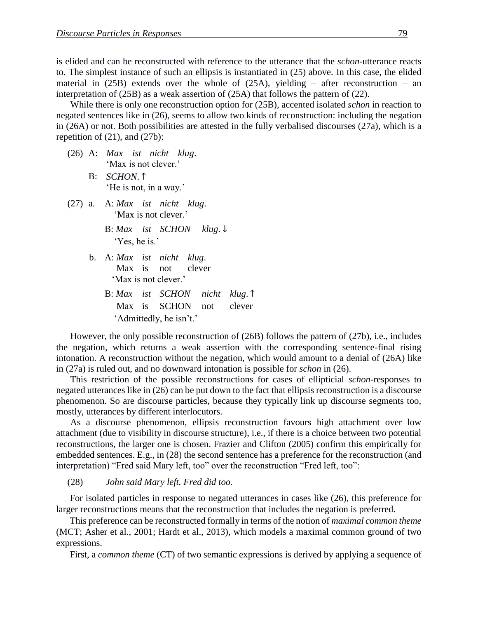is elided and can be reconstructed with reference to the utterance that the *schon*-utterance reacts to. The simplest instance of such an ellipsis is instantiated in (25) above. In this case, the elided material in  $(25B)$  extends over the whole of  $(25A)$ , yielding – after reconstruction – an interpretation of (25B) as a weak assertion of (25A) that follows the pattern of (22).

While there is only one reconstruction option for (25B), accented isolated *schon* in reaction to negated sentences like in (26), seems to allow two kinds of reconstruction: including the negation in (26A) or not. Both possibilities are attested in the fully verbalised discourses (27a), which is a repetition of  $(21)$ , and  $(27b)$ :

- (26) A: *Max ist nicht klug*. 'Max is not clever.'
	- B: *SCHON*. ↑ 'He is not, in a way.'
- (27) a. A: *Max ist nicht klug*. 'Max is not clever.'
	- B: *Max ist SCHON klug*. ↓ 'Yes, he is.'
	- b. A: *Max ist nicht klug*. Max is not clever 'Max is not clever.'
		- B: *Max ist SCHON nicht klug*. ↑ Max is SCHON not clever 'Admittedly, he isn't.'

However, the only possible reconstruction of (26B) follows the pattern of (27b), i.e., includes the negation, which returns a weak assertion with the corresponding sentence-final rising intonation. A reconstruction without the negation, which would amount to a denial of (26A) like in (27a) is ruled out, and no downward intonation is possible for *schon* in (26).

This restriction of the possible reconstructions for cases of ellipticial *schon*-responses to negated utterances like in (26) can be put down to the fact that ellipsis reconstruction is a discourse phenomenon. So are discourse particles, because they typically link up discourse segments too, mostly, utterances by different interlocutors.

As a discourse phenomenon, ellipsis reconstruction favours high attachment over low attachment (due to visibility in discourse structure), i.e., if there is a choice between two potential reconstructions, the larger one is chosen. Frazier and Clifton (2005) confirm this empirically for embedded sentences. E.g., in (28) the second sentence has a preference for the reconstruction (and interpretation) "Fred said Mary left, too" over the reconstruction "Fred left, too":

(28) *John said Mary left. Fred did too.*

For isolated particles in response to negated utterances in cases like (26), this preference for larger reconstructions means that the reconstruction that includes the negation is preferred.

This preference can be reconstructed formally in terms of the notion of *maximal common theme* (MCT; Asher et al., 2001; Hardt et al., 2013), which models a maximal common ground of two expressions.

First, a *common theme* (CT) of two semantic expressions is derived by applying a sequence of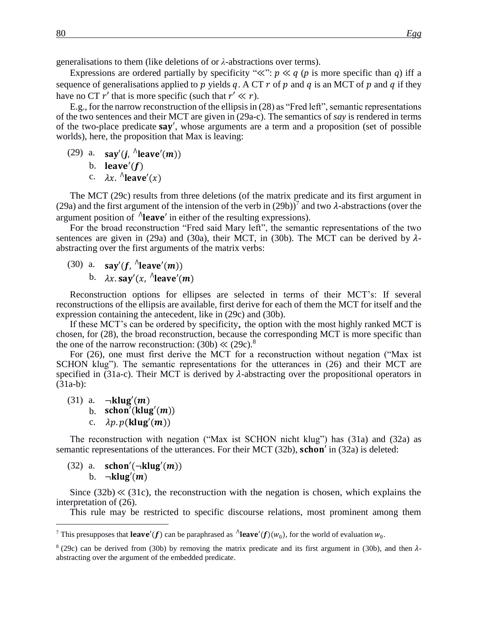generalisations to them (like deletions of or *λ*-abstractions over terms).

Expressions are ordered partially by specificity " $\ll$ ":  $p \ll q$  (*p* is more specific than *q*) iff a sequence of generalisations applied to  $p$  yields  $q$ . A CT  $r$  of  $p$  and  $q$  is an MCT of  $p$  and  $q$  if they have no CT  $r'$  that is more specific (such that  $r' \ll r$ ).

E.g., for the narrow reconstruction of the ellipsis in (28) as "Fred left", semantic representations of the two sentences and their MCT are given in (29a-c). The semantics of *say* is rendered in terms of the two-place predicate **say'**, whose arguments are a term and a proposition (set of possible worlds), here, the proposition that Max is leaving:

- (29) a.  $\text{say}'(j, \Lambda \text{leave}'(m))$ 
	- b. leave' $(f)$
	- c.  $\lambda x$ .  $\Lambda$ leave'(x)

The MCT (29c) results from three deletions (of the matrix predicate and its first argument in (29a) and the first argument of the intension of the verb in (29b))<sup>7</sup> and two  $\lambda$ -abstractions (over the argument position of  $\Lambda$ **leave'** in either of the resulting expressions).

For the broad reconstruction "Fred said Mary left", the semantic representations of the two sentences are given in (29a) and (30a), their MCT, in (30b). The MCT can be derived by  $\lambda$ abstracting over the first arguments of the matrix verbs:

(30) a.  $\text{say}'(f, \Lambda \text{leave}'(m))$ b.  $\lambda x.$ say' $(x, \Lambda$ leave' $(m)$ 

Reconstruction options for ellipses are selected in terms of their MCT's: If several reconstructions of the ellipsis are available, first derive for each of them the MCT for itself and the expression containing the antecedent, like in (29c) and (30b).

If these MCT's can be ordered by specificity, the option with the most highly ranked MCT is chosen, for (28), the broad reconstruction, because the corresponding MCT is more specific than the one of the narrow reconstruction:  $(30b) \ll (29c)^8$ 

For (26), one must first derive the MCT for a reconstruction without negation ("Max ist SCHON klug"). The semantic representations for the utterances in (26) and their MCT are specified in (31a-c). Their MCT is derived by  $\lambda$ -abstracting over the propositional operators in (31a-b):

(31) a.  $\neg$ **klug'**(*m*) b.  $\operatorname{schon}'(klug'(m))$ c.  $\lambda p. p(\mathbf{klug}'(m))$ 

The reconstruction with negation ("Max ist SCHON nicht klug") has (31a) and (32a) as semantic representations of the utterances. For their MCT  $(32b)$ , schon' in  $(32a)$  is deleted:

 $(32)$  a. **schon'**( $\neg$ klug'(*m*)) b.  $\neg$ **klug** $(m)$ 

 $\overline{a}$ 

Since  $(32b) \ll (31c)$ , the reconstruction with the negation is chosen, which explains the interpretation of (26).

This rule may be restricted to specific discourse relations, most prominent among them

<sup>&</sup>lt;sup>7</sup> This presupposes that **leave'**(f) can be paraphrased as  $\Lambda$ **leave'**(f)( $w_0$ ), for the world of evaluation  $w_0$ .

 $8(29c)$  can be derived from (30b) by removing the matrix predicate and its first argument in (30b), and then  $\lambda$ abstracting over the argument of the embedded predicate.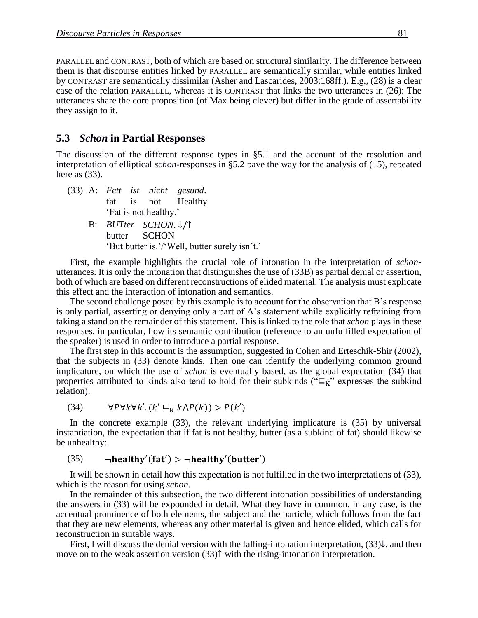PARALLEL and CONTRAST, both of which are based on structural similarity. The difference between them is that discourse entities linked by PARALLEL are semantically similar, while entities linked by CONTRAST are semantically dissimilar (Asher and Lascarides, 2003:168ff.). E.g., (28) is a clear case of the relation PARALLEL, whereas it is CONTRAST that links the two utterances in (26): The utterances share the core proposition (of Max being clever) but differ in the grade of assertability they assign to it.

### **5.3xx***Schon* **in Partial Responses**

The discussion of the different response types in §5.1 and the account of the resolution and interpretation of elliptical *schon*-responses in §5.2 pave the way for the analysis of (15), repeated here as  $(33)$ .

- (33) A: *Fett ist nicht gesund*. fat is not Healthy 'Fat is not healthy.'
	- B: *BUTter SCHON*. ↓/↑ butter SCHON 'But butter is.'/'Well, butter surely isn't.'

First, the example highlights the crucial role of intonation in the interpretation of *schon*utterances. It is only the intonation that distinguishes the use of (33B) as partial denial or assertion, both of which are based on different reconstructions of elided material. The analysis must explicate this effect and the interaction of intonation and semantics.

The second challenge posed by this example is to account for the observation that B's response is only partial, asserting or denying only a part of A's statement while explicitly refraining from taking a stand on the remainder of this statement. This is linked to the role that *schon* plays in these responses, in particular, how its semantic contribution (reference to an unfulfilled expectation of the speaker) is used in order to introduce a partial response.

The first step in this account is the assumption, suggested in Cohen and Erteschik-Shir (2002), that the subjects in (33) denote kinds. Then one can identify the underlying common ground implicature, on which the use of *schon* is eventually based, as the global expectation (34) that properties attributed to kinds also tend to hold for their subkinds (" $E_K$ " expresses the subkind relation).

$$
(34) \qquad \forall P \forall k \forall k'. (k' \sqsubseteq_K k \land P(k)) > P(k')
$$

In the concrete example (33), the relevant underlying implicature is (35) by universal instantiation, the expectation that if fat is not healthy, butter (as a subkind of fat) should likewise be unhealthy:

#### (35)  $\qquad \neg \text{healthy}'(\text{fat}') > \neg \text{healthy}'(\text{butter}')$

It will be shown in detail how this expectation is not fulfilled in the two interpretations of (33), which is the reason for using *schon*.

In the remainder of this subsection, the two different intonation possibilities of understanding the answers in (33) will be expounded in detail. What they have in common, in any case, is the accentual prominence of both elements, the subject and the particle, which follows from the fact that they are new elements, whereas any other material is given and hence elided, which calls for reconstruction in suitable ways.

First, I will discuss the denial version with the falling-intonation interpretation, (33)↓, and then move on to the weak assertion version (33)↑ with the rising-intonation interpretation.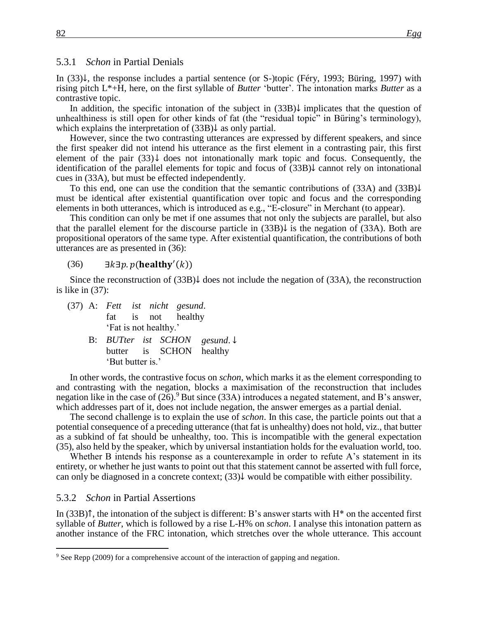#### 5.3.1 *Schon* in Partial Denials

In (33)↓, the response includes a partial sentence (or S-)topic (Féry, 1993; Büring, 1997) with rising pitch L\*+H, here, on the first syllable of *Butter* 'butter'. The intonation marks *Butter* as a contrastive topic.

In addition, the specific intonation of the subject in (33B)↓ implicates that the question of unhealthiness is still open for other kinds of fat (the "residual topic" in Büring's terminology), which explains the interpretation of (33B)↓ as only partial.

However, since the two contrasting utterances are expressed by different speakers, and since the first speaker did not intend his utterance as the first element in a contrasting pair, this first element of the pair  $(33)$   $\downarrow$  does not intonationally mark topic and focus. Consequently, the identification of the parallel elements for topic and focus of (33B)↓ cannot rely on intonational cues in (33A), but must be effected independently.

To this end, one can use the condition that the semantic contributions of (33A) and (33B)↓ must be identical after existential quantification over topic and focus and the corresponding elements in both utterances, which is introduced as e.g., "E-closure" in Merchant (to appear).

This condition can only be met if one assumes that not only the subjects are parallel, but also that the parallel element for the discourse particle in  $(33B)\downarrow$  is the negation of  $(33A)$ . Both are propositional operators of the same type. After existential quantification, the contributions of both utterances are as presented in (36):

#### $(36)$   $\exists k \exists p. p ( \textbf{health} y'(k))$

Since the reconstruction of  $(33B)$  does not include the negation of  $(33A)$ , the reconstruction is like in (37):

- (37) A: *Fett ist nicht gesund*. fat is not healthy 'Fat is not healthy.'
	- B: *BUTter ist SCHON gesund*. ↓ butter is SCHON healthy 'But butter is.'

In other words, the contrastive focus on *schon*, which marks it as the element corresponding to and contrasting with the negation, blocks a maximisation of the reconstruction that includes negation like in the case of  $(26)$ .<sup>9</sup> But since (33A) introduces a negated statement, and B's answer, which addresses part of it, does not include negation, the answer emerges as a partial denial.

The second challenge is to explain the use of *schon*. In this case, the particle points out that a potential consequence of a preceding utterance (that fat is unhealthy) does not hold, viz., that butter as a subkind of fat should be unhealthy, too. This is incompatible with the general expectation (35), also held by the speaker, which by universal instantiation holds for the evaluation world, too.

Whether B intends his response as a counterexample in order to refute A's statement in its entirety, or whether he just wants to point out that this statement cannot be asserted with full force, can only be diagnosed in a concrete context;  $(33)$  would be compatible with either possibility.

#### 5.3.2 Schon in Partial Assertions

 $\overline{a}$ 

In  $(33B)$ ↑, the intonation of the subject is different: B's answer starts with H<sup>\*</sup> on the accented first syllable of *Butter*, which is followed by a rise L-H% on *schon*. I analyse this intonation pattern as another instance of the FRC intonation, which stretches over the whole utterance. This account

<sup>&</sup>lt;sup>9</sup> See Repp (2009) for a comprehensive account of the interaction of gapping and negation.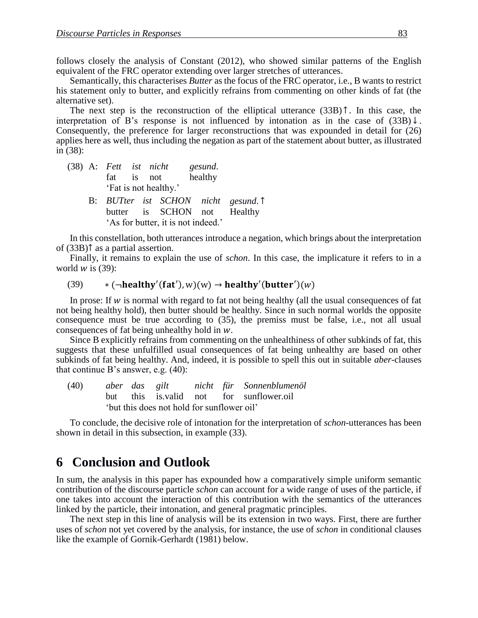follows closely the analysis of Constant (2012), who showed similar patterns of the English equivalent of the FRC operator extending over larger stretches of utterances.

Semantically, this characterises *Butter* as the focus of the FRC operator, i.e., B wants to restrict his statement only to butter, and explicitly refrains from commenting on other kinds of fat (the alternative set).

The next step is the reconstruction of the elliptical utterance  $(33B)$   $\uparrow$ . In this case, the interpretation of B's response is not influenced by intonation as in the case of  $(33B) \downarrow$ . Consequently, the preference for larger reconstructions that was expounded in detail for (26) applies here as well, thus including the negation as part of the statement about butter, as illustrated in (38):

- (38) A: *Fett ist nicht gesund*. fat is not healthy 'Fat is not healthy.'
	- B: *BUTter ist SCHON nicht gesund*. ↑ butter is SCHON not Healthy 'As for butter, it is not indeed.'

In this constellation, both utterances introduce a negation, which brings about the interpretation of (33B)↑ as a partial assertion.

Finally, it remains to explain the use of *schon*. In this case, the implicature it refers to in a world  $w$  is (39):

#### (39)  $*(\neg healthy'(fat'), w)(w) \rightarrow healthy'(butter')(w)$

In prose: If  $w$  is normal with regard to fat not being healthy (all the usual consequences of fat not being healthy hold), then butter should be healthy. Since in such normal worlds the opposite consequence must be true according to (35), the premiss must be false, i.e., not all usual consequences of fat being unhealthy hold in  $w$ .

Since B explicitly refrains from commenting on the unhealthiness of other subkinds of fat, this suggests that these unfulfilled usual consequences of fat being unhealthy are based on other subkinds of fat being healthy. And, indeed, it is possible to spell this out in suitable *aber*-clauses that continue B's answer, e.g. (40):

(40) *aber das gilt nicht für Sonnenblumenöl* but this is.valid not for sunflower.oil 'but this does not hold for sunflower oil'

To conclude, the decisive role of intonation for the interpretation of *schon*-utterances has been shown in detail in this subsection, in example (33).

## **6xxConclusion and Outlook**

In sum, the analysis in this paper has expounded how a comparatively simple uniform semantic contribution of the discourse particle *schon* can account for a wide range of uses of the particle, if one takes into account the interaction of this contribution with the semantics of the utterances linked by the particle, their intonation, and general pragmatic principles.

The next step in this line of analysis will be its extension in two ways. First, there are further uses of *schon* not yet covered by the analysis, for instance, the use of *schon* in conditional clauses like the example of Gornik-Gerhardt (1981) below.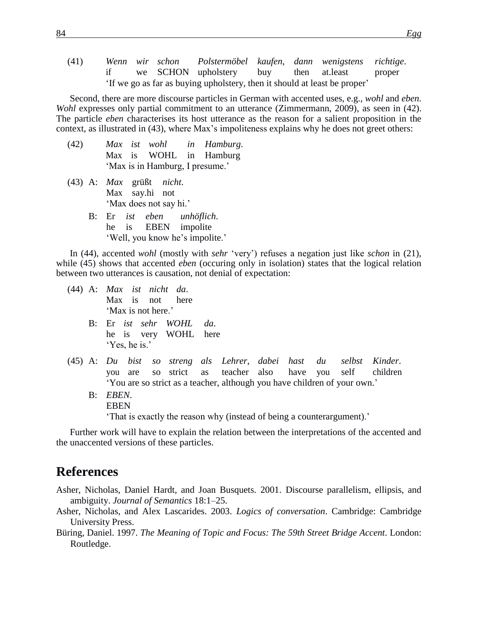(41) *Wenn wir schon Polstermöbel kaufen*, *dann wenigstens richtige*. if we SCHON upholstery buy then at.least proper 'If we go as far as buying upholstery, then it should at least be proper'

Second, there are more discourse particles in German with accented uses, e.g., *wohl* and *eben*. *Wohl* expresses only partial commitment to an utterance (Zimmermann, 2009), as seen in (42). The particle *eben* characterises its host utterance as the reason for a salient proposition in the context, as illustrated in (43), where Max's impoliteness explains why he does not greet others:

- (42) *Max ist wohl in Hamburg*. Max is WOHL in Hamburg 'Max is in Hamburg, I presume.'
- (43) A: *Max* grüßt *nicht*. Max say.hi not 'Max does not say hi.'
	- B: Er *ist eben unhöflich*. he is EBEN impolite 'Well, you know he's impolite.'

In (44), accented *wohl* (mostly with *sehr* 'very') refuses a negation just like *schon* in (21), while (45) shows that accented *eben* (occuring only in isolation) states that the logical relation between two utterances is causation, not denial of expectation:

- (44) A: *Max ist nicht da*. Max is not here 'Max is not here.'
	- B: Er *ist sehr WOHL da*. he is very WOHL here 'Yes, he is.'

(45) A: *Du bist so streng als Lehrer*, *dabei hast du selbst Kinder*. you are so strict as teacher also have you self children 'You are so strict as a teacher, although you have children of your own.'

B: *EBEN*. EBEN 'That is exactly the reason why (instead of being a counterargument).'

Further work will have to explain the relation between the interpretations of the accented and the unaccented versions of these particles.

## **References**

Asher, Nicholas, Daniel Hardt, and Joan Busquets. 2001. Discourse parallelism, ellipsis, and ambiguity. *Journal of Semantics* 18:1–25.

- Asher, Nicholas, and Alex Lascarides. 2003. *Logics of conversation*. Cambridge: Cambridge University Press.
- Büring, Daniel. 1997. *The Meaning of Topic and Focus: The 59th Street Bridge Accent*. London: Routledge.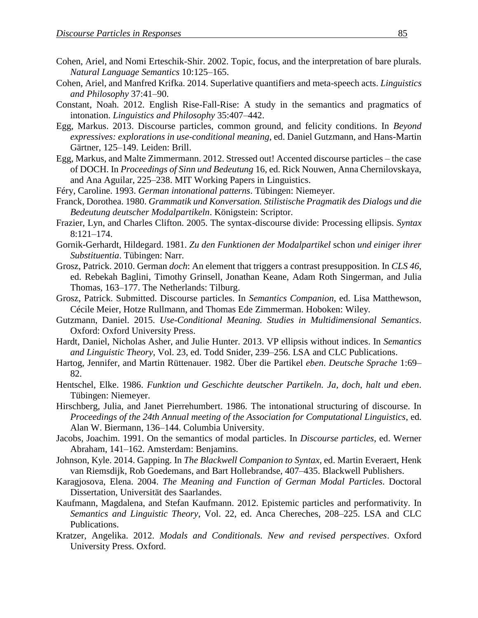- Cohen, Ariel, and Nomi Erteschik-Shir. 2002. Topic, focus, and the interpretation of bare plurals. *Natural Language Semantics* 10:125–165.
- Cohen, Ariel, and Manfred Krifka. 2014. Superlative quantifiers and meta-speech acts. *Linguistics and Philosophy* 37:41–90.
- Constant, Noah. 2012. English Rise-Fall-Rise: A study in the semantics and pragmatics of intonation. *Linguistics and Philosophy* 35:407–442.
- Egg, Markus. 2013. Discourse particles, common ground, and felicity conditions. In *Beyond expressives: explorations in use-conditional meaning*, ed. Daniel Gutzmann, and Hans-Martin Gärtner, 125–149. Leiden: Brill.
- Egg, Markus, and Malte Zimmermann. 2012. Stressed out! Accented discourse particles the case of DOCH. In *Proceedings of Sinn und Bedeutung* 16, ed. Rick Nouwen, Anna Chernilovskaya, and Ana Aguilar, 225–238. MIT Working Papers in Linguistics.
- Féry, Caroline. 1993. *German intonational patterns*. Tübingen: Niemeyer.
- Franck, Dorothea. 1980. *Grammatik und Konversation. Stilistische Pragmatik des Dialogs und die Bedeutung deutscher Modalpartikeln*. Königstein: Scriptor.
- Frazier, Lyn, and Charles Clifton. 2005. The syntax-discourse divide: Processing ellipsis. *Syntax*  8:121–174.
- Gornik-Gerhardt, Hildegard. 1981. *Zu den Funktionen der Modalpartikel* schon *und einiger ihrer Substituentia*. Tübingen: Narr.
- Grosz, Patrick. 2010. German *doch*: An element that triggers a contrast presupposition. In *CLS 46*, ed. Rebekah Baglini, Timothy Grinsell, Jonathan Keane, Adam Roth Singerman, and Julia Thomas, 163–177. The Netherlands: Tilburg.
- Grosz, Patrick. Submitted. Discourse particles. In *Semantics Companion*, ed. Lisa Matthewson, Cécile Meier, Hotze Rullmann, and Thomas Ede Zimmerman. Hoboken: Wiley.
- Gutzmann, Daniel. 2015. *Use-Conditional Meaning. Studies in Multidimensional Semantics*. Oxford: Oxford University Press.
- Hardt, Daniel, Nicholas Asher, and Julie Hunter. 2013. VP ellipsis without indices. In *Semantics and Linguistic Theory*, Vol. 23, ed. Todd Snider, 239–256. LSA and CLC Publications.
- Hartog, Jennifer, and Martin Rüttenauer. 1982. Über die Partikel *eben*. *Deutsche Sprache* 1:69– 82.
- Hentschel, Elke. 1986. *Funktion und Geschichte deutscher Partikeln. Ja, doch, halt und eben*. Tübingen: Niemeyer.
- Hirschberg, Julia, and Janet Pierrehumbert. 1986. The intonational structuring of discourse. In *Proceedings of the 24th Annual meeting of the Association for Computational Linguistics*, ed. Alan W. Biermann, 136–144. Columbia University.
- Jacobs, Joachim. 1991. On the semantics of modal particles. In *Discourse particles*, ed. Werner Abraham, 141–162. Amsterdam: Benjamins.
- Johnson, Kyle. 2014. Gapping. In *The Blackwell Companion to Syntax*, ed. Martin Everaert, Henk van Riemsdijk, Rob Goedemans, and Bart Hollebrandse, 407–435. Blackwell Publishers.
- Karagjosova, Elena. 2004. *The Meaning and Function of German Modal Particles*. Doctoral Dissertation, Universität des Saarlandes.
- Kaufmann, Magdalena, and Stefan Kaufmann. 2012. Epistemic particles and performativity. In *Semantics and Linguistic Theory*, Vol. 22, ed. Anca Chereches, 208–225. LSA and CLC Publications.
- Kratzer, Angelika. 2012. *Modals and Conditionals. New and revised perspectives*. Oxford University Press. Oxford.